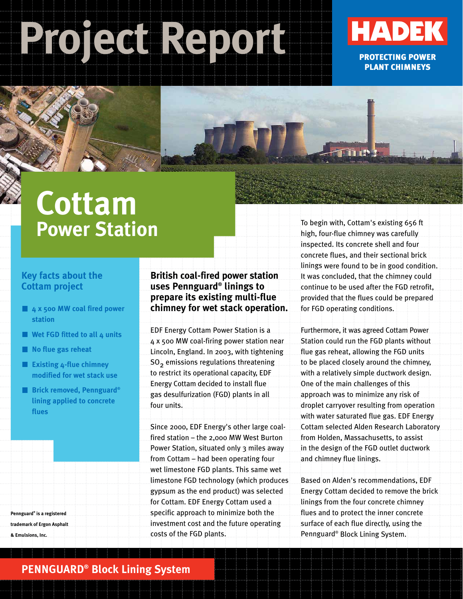# **Project Report**



PROTECTING POWER PLANT CHIMNEYS

## **Cottam Power Station**

#### **Key facts about the Cottam project**

- **4 x 500 MW coal fired power station**
- **Wet FGD fitted to all 4 units**
- **No flue gas reheat**
- **Existing 4-flue chimney modified for wet stack use**
- **Brick removed, Pennguard® lining applied to concrete flues**

**Pennguard® is a registered trademark of Ergon Asphalt & Emulsions, Inc.**

#### **British coal-fired power station uses Pennguard® linings to prepare its existing multi-flue chimney for wet stack operation.**

EDF Energy Cottam Power Station is a 4 x 500 MW coal-firing power station near Lincoln, England. In 2003, with tightening SO2 emissions regulations threatening to restrict its operational capacity, EDF Energy Cottam decided to install flue gas desulfurization (FGD) plants in all four units.

Since 2000, EDF Energy's other large coalfired station – the 2,000 MW West Burton Power Station, situated only 3 miles away from Cottam – had been operating four wet limestone FGD plants. This same wet limestone FGD technology (which produces gypsum as the end product) was selected for Cottam. EDF Energy Cottam used a specific approach to minimize both the investment cost and the future operating costs of the FGD plants.

To begin with, Cottam's existing 656 ft high, four-flue chimney was carefully inspected. Its concrete shell and four concrete flues, and their sectional brick linings were found to be in good condition. It was concluded, that the chimney could continue to be used after the FGD retrofit, provided that the flues could be prepared for FGD operating conditions.

Furthermore, it was agreed Cottam Power Station could run the FGD plants without flue gas reheat, allowing the FGD units to be placed closely around the chimney, with a relatively simple ductwork design. One of the main challenges of this approach was to minimize any risk of droplet carryover resulting from operation with water saturated flue gas. EDF Energy Cottam selected Alden Research Laboratory from Holden, Massachusetts, to assist in the design of the FGD outlet ductwork and chimney flue linings.

Based on Alden's recommendations, EDF Energy Cottam decided to remove the brick linings from the four concrete chimney flues and to protect the inner concrete surface of each flue directly, using the Pennguard® Block Lining System.

#### **PENNGUARD® Block Lining System**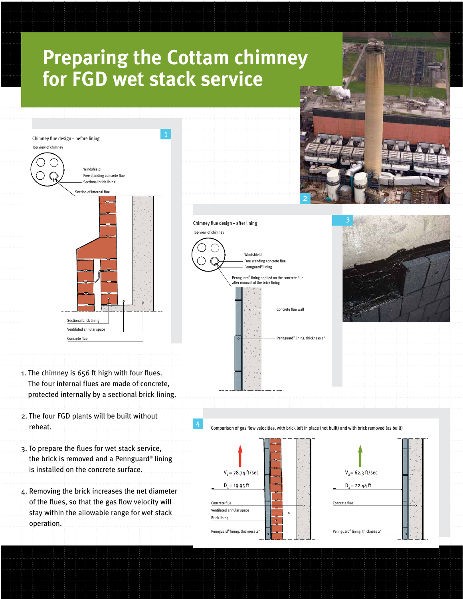### **Preparing the Cottam chimney for FGD wet stack service**



- 1. The chimney is 656 ft high with four flues. The four internal flues are made of concrete, protected internally by a sectional brick lining.
- 2. The four FGD plants will be built without reheat.
- 3. To prepare the flues for wet stack service, the brick is removed and a Pennguard® lining is installed on the concrete surface.
- 4. Removing the brick increases the net diameter of the flues, so that the gas flow velocity will stay within the allowable range for wet stack operation.





Comparison of gas flow velocities, with brick left in place (not built) and with brick removed (as built)



4

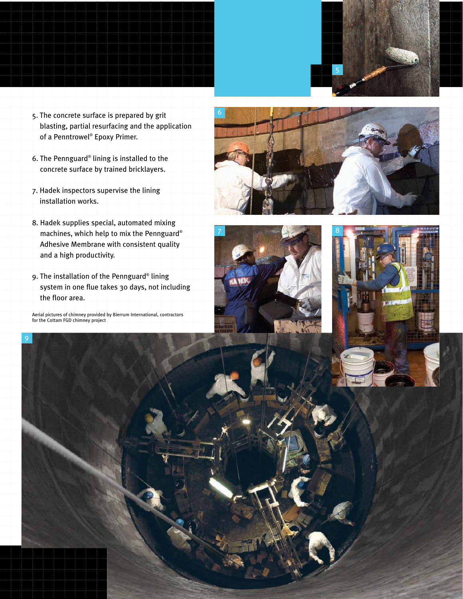

- 5. The concrete surface is prepared by grit blasting, partial resurfacing and the application of a Penntrowel® Epoxy Primer.
- 6. The Pennguard® lining is installed to the concrete surface by trained bricklayers.
- 7. Hadek inspectors supervise the lining installation works.
- 8. Hadek supplies special, automated mixing machines, which help to mix the Pennguard® Adhesive Membrane with consistent quality and a high productivity.
- 9. The installation of the Pennguard® lining system in one flue takes 30 days, not including the floor area.

Aerial pictures of chimney provided by Bierrum International, contractors for the Cottam FGD chimney project